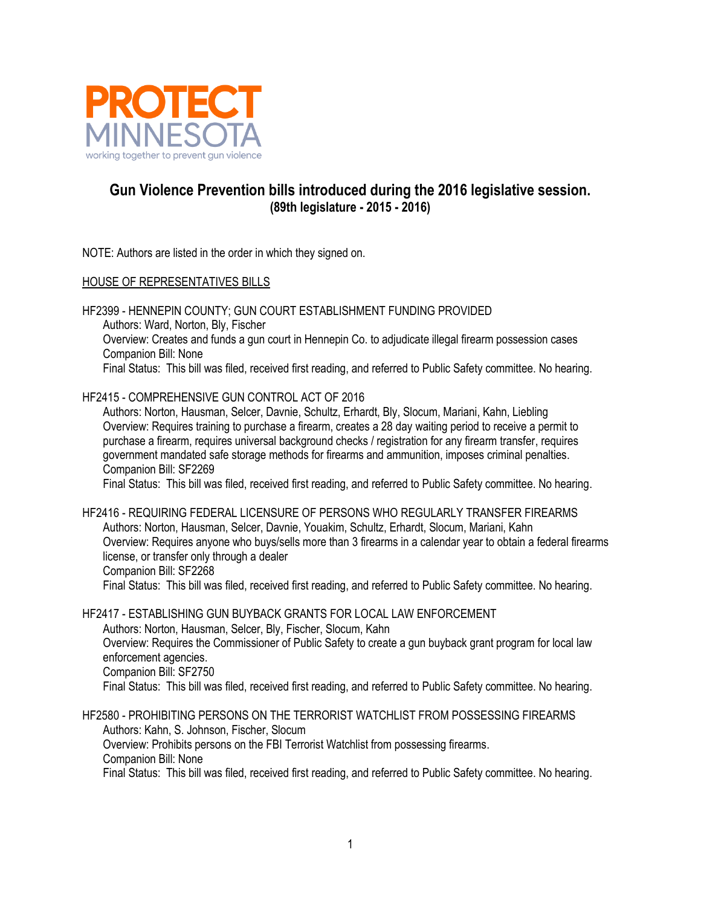

## **Gun Violence Prevention bills introduced during the 2016 legislative session. (89th legislature - 2015 - 2016)**

NOTE: Authors are listed in the order in which they signed on.

## HOUSE OF REPRESENTATIVES BILLS

HF2399 - HENNEPIN COUNTY; GUN COURT ESTABLISHMENT FUNDING PROVIDED Authors: Ward, Norton, Bly, Fischer Overview: Creates and funds a gun court in Hennepin Co. to adjudicate illegal firearm possession cases Companion Bill: None Final Status: This bill was filed, received first reading, and referred to Public Safety committee. No hearing.

## HF2415 - COMPREHENSIVE GUN CONTROL ACT OF 2016

Authors: Norton, Hausman, Selcer, Davnie, Schultz, Erhardt, Bly, Slocum, Mariani, Kahn, Liebling Overview: Requires training to purchase a firearm, creates a 28 day waiting period to receive a permit to purchase a firearm, requires universal background checks / registration for any firearm transfer, requires government mandated safe storage methods for firearms and ammunition, imposes criminal penalties. Companion Bill: SF2269

Final Status: This bill was filed, received first reading, and referred to Public Safety committee. No hearing.

HF2416 - REQUIRING FEDERAL LICENSURE OF PERSONS WHO REGULARLY TRANSFER FIREARMS Authors: Norton, Hausman, Selcer, Davnie, Youakim, Schultz, Erhardt, Slocum, Mariani, Kahn Overview: Requires anyone who buys/sells more than 3 firearms in a calendar year to obtain a federal firearms license, or transfer only through a dealer Companion Bill: SF2268 Final Status: This bill was filed, received first reading, and referred to Public Safety committee. No hearing.

HF2417 - ESTABLISHING GUN BUYBACK GRANTS FOR LOCAL LAW ENFORCEMENT Authors: Norton, Hausman, Selcer, Bly, Fischer, Slocum, Kahn Overview: Requires the Commissioner of Public Safety to create a gun buyback grant program for local law enforcement agencies. Companion Bill: SF2750 Final Status: This bill was filed, received first reading, and referred to Public Safety committee. No hearing.

HF2580 - PROHIBITING PERSONS ON THE TERRORIST WATCHLIST FROM POSSESSING FIREARMS Authors: Kahn, S. Johnson, Fischer, Slocum Overview: Prohibits persons on the FBI Terrorist Watchlist from possessing firearms. Companion Bill: None Final Status: This bill was filed, received first reading, and referred to Public Safety committee. No hearing.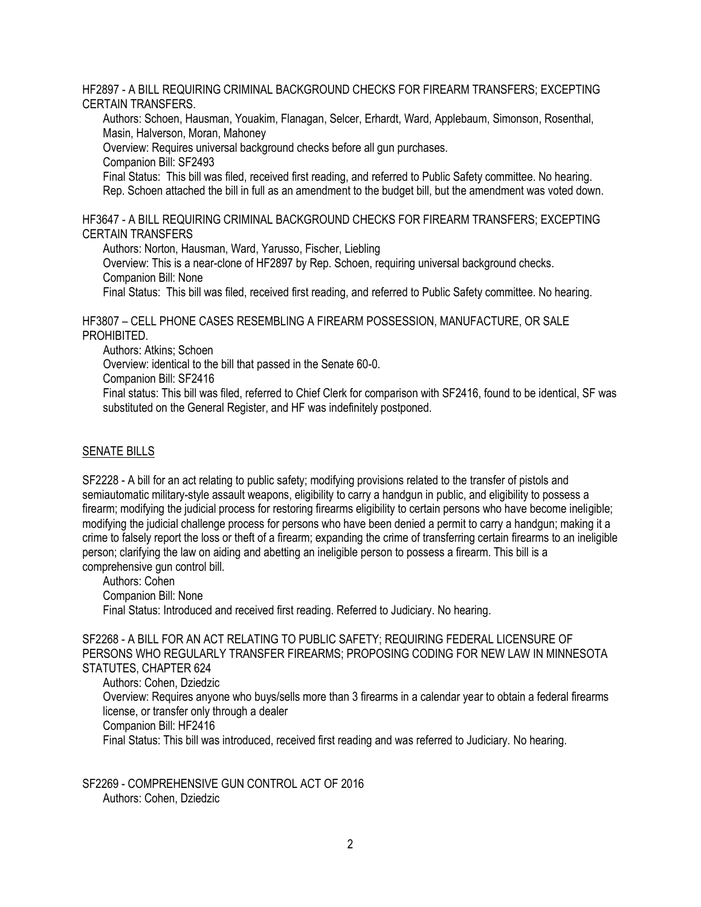HF2897 - A BILL REQUIRING CRIMINAL BACKGROUND CHECKS FOR FIREARM TRANSFERS; EXCEPTING CERTAIN TRANSFERS.

Authors: Schoen, Hausman, Youakim, Flanagan, Selcer, Erhardt, Ward, Applebaum, Simonson, Rosenthal, Masin, Halverson, Moran, Mahoney

Overview: Requires universal background checks before all gun purchases.

Companion Bill: SF2493

Final Status: This bill was filed, received first reading, and referred to Public Safety committee. No hearing. Rep. Schoen attached the bill in full as an amendment to the budget bill, but the amendment was voted down.

HF3647 - A BILL REQUIRING CRIMINAL BACKGROUND CHECKS FOR FIREARM TRANSFERS; EXCEPTING CERTAIN TRANSFERS

Authors: Norton, Hausman, Ward, Yarusso, Fischer, Liebling

Overview: This is a near-clone of HF2897 by Rep. Schoen, requiring universal background checks. Companion Bill: None

Final Status: This bill was filed, received first reading, and referred to Public Safety committee. No hearing.

HF3807 – CELL PHONE CASES RESEMBLING A FIREARM POSSESSION, MANUFACTURE, OR SALE PROHIBITED.

Authors: Atkins; Schoen

Overview: identical to the bill that passed in the Senate 60-0.

Companion Bill: SF2416

Final status: This bill was filed, referred to Chief Clerk for comparison with SF2416, found to be identical, SF was substituted on the General Register, and HF was indefinitely postponed.

## SENATE BILLS

SF2228 - A bill for an act relating to public safety; modifying provisions related to the transfer of pistols and semiautomatic military-style assault weapons, eligibility to carry a handgun in public, and eligibility to possess a firearm; modifying the judicial process for restoring firearms eligibility to certain persons who have become ineligible; modifying the judicial challenge process for persons who have been denied a permit to carry a handgun; making it a crime to falsely report the loss or theft of a firearm; expanding the crime of transferring certain firearms to an ineligible person; clarifying the law on aiding and abetting an ineligible person to possess a firearm. This bill is a comprehensive gun control bill.

Authors: Cohen Companion Bill: None Final Status: Introduced and received first reading. Referred to Judiciary. No hearing.

SF2268 - A BILL FOR AN ACT RELATING TO PUBLIC SAFETY; REQUIRING FEDERAL LICENSURE OF PERSONS WHO REGULARLY TRANSFER FIREARMS; PROPOSING CODING FOR NEW LAW IN MINNESOTA STATUTES, CHAPTER 624

Authors: Cohen, Dziedzic

Overview: Requires anyone who buys/sells more than 3 firearms in a calendar year to obtain a federal firearms license, or transfer only through a dealer Companion Bill: HF2416

Final Status: This bill was introduced, received first reading and was referred to Judiciary. No hearing.

SF2269 - COMPREHENSIVE GUN CONTROL ACT OF 2016 Authors: Cohen, Dziedzic